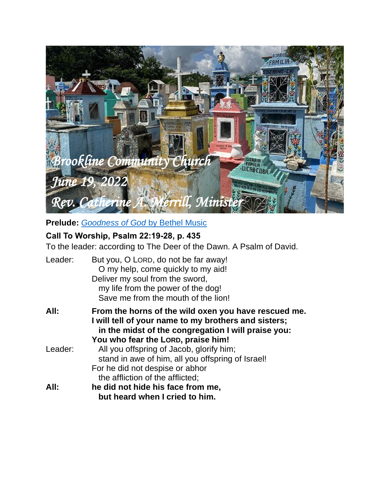

**Prelude:** *[Goodness of God](https://www.youtube.com/watch?v=SuPCTBmISzQ)* by Bethel Music

# **Call To Worship, Psalm 22:19-28, p. 435**

To the leader: according to The Deer of the Dawn. A Psalm of David.

| Leader: | But you, O LORD, do not be far away!<br>O my help, come quickly to my aid!<br>Deliver my soul from the sword,<br>my life from the power of the dog!<br>Save me from the mouth of the lion! |
|---------|--------------------------------------------------------------------------------------------------------------------------------------------------------------------------------------------|
| All:    | From the horns of the wild oxen you have rescued me.<br>I will tell of your name to my brothers and sisters;<br>in the midst of the congregation I will praise you:                        |
|         | You who fear the LORD, praise him!                                                                                                                                                         |
| Leader: | All you offspring of Jacob, glorify him;                                                                                                                                                   |
|         | stand in awe of him, all you offspring of Israel!                                                                                                                                          |
|         | For he did not despise or abhor                                                                                                                                                            |
|         | the affliction of the afflicted;                                                                                                                                                           |
| All:    | he did not hide his face from me,                                                                                                                                                          |
|         | but heard when I cried to him.                                                                                                                                                             |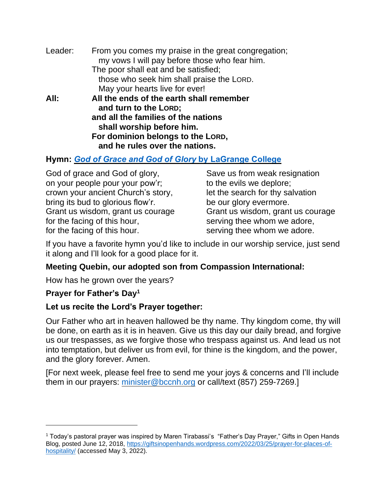| Leader: | From you comes my praise in the great congregation;<br>my vows I will pay before those who fear him. |
|---------|------------------------------------------------------------------------------------------------------|
|         | The poor shall eat and be satisfied;                                                                 |
|         | those who seek him shall praise the LORD.                                                            |
|         | May your hearts live for ever!                                                                       |
| All:    | All the ends of the earth shall remember<br>and turn to the LORD;                                    |
|         | and all the families of the nations                                                                  |
|         | shall worship before him.                                                                            |
|         | For dominion belongs to the LORD,                                                                    |
|         | and he rules over the nations.                                                                       |
|         |                                                                                                      |

## **Hymn:** *God of Grace and God of Glory* **by [LaGrange](https://www.youtube.com/watch?v=lpabk2796xI) College**

God of grace and God of glory, on your people pour your pow'r; crown your ancient Church's story, bring its bud to glorious flow'r. Grant us wisdom, grant us courage for the facing of this hour, for the facing of this hour.

Save us from weak resignation to the evils we deplore; let the search for thy salvation be our glory evermore. Grant us wisdom, grant us courage serving thee whom we adore, serving thee whom we adore.

If you have a favorite hymn you'd like to include in our worship service, just send it along and I'll look for a good place for it.

#### **Meeting Quebin, our adopted son from Compassion International:**

How has he grown over the years?

#### **Prayer for Father's Day<sup>1</sup>**

#### **Let us recite the Lord's Prayer together:**

Our Father who art in heaven hallowed be thy name. Thy kingdom come, thy will be done, on earth as it is in heaven. Give us this day our daily bread, and forgive us our trespasses, as we forgive those who trespass against us. And lead us not into temptation, but deliver us from evil, for thine is the kingdom, and the power, and the glory forever. Amen.

[For next week, please feel free to send me your joys & concerns and I'll include them in our prayers: [minister@bccnh.org](mailto:minister@bccnh.org) or call/text (857) 259-7269.]

<sup>1</sup> Today's pastoral prayer was inspired by Maren Tirabassi's "Father's Day Prayer," Gifts in Open Hands Blog, posted June 12, 2018, [https://giftsinopenhands.wordpress.com/2022/03/25/prayer-for-places-of](https://giftsinopenhands.wordpress.com/2022/03/25/prayer-for-places-of-hospitality/)[hospitality/](https://giftsinopenhands.wordpress.com/2022/03/25/prayer-for-places-of-hospitality/) (accessed May 3, 2022).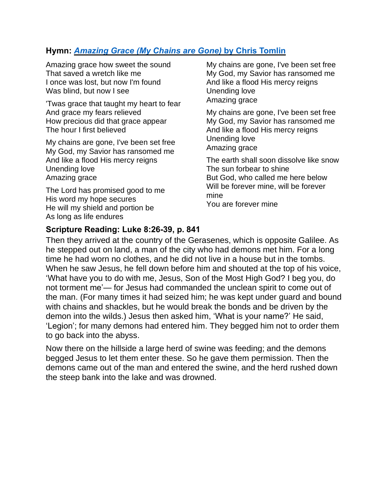## **Hymn:** *[Amazing](https://www.youtube.com/watch?v=Jbe7OruLk8I) Grace (My Chains are Gone)* **by Chris Tomlin**

Amazing grace how sweet the sound That saved a wretch like me I once was lost, but now I'm found Was blind, but now I see

'Twas grace that taught my heart to fear And grace my fears relieved How precious did that grace appear The hour I first believed

My chains are gone, I've been set free My God, my Savior has ransomed me And like a flood His mercy reigns Unending love Amazing grace

The Lord has promised good to me His word my hope secures He will my shield and portion be As long as life endures

My chains are gone, I've been set free My God, my Savior has ransomed me And like a flood His mercy reigns Unending love Amazing grace

My chains are gone, I've been set free My God, my Savior has ransomed me And like a flood His mercy reigns Unending love Amazing grace

The earth shall soon dissolve like snow The sun forbear to shine But God, who called me here below Will be forever mine, will be forever mine You are forever mine

#### **Scripture Reading: Luke 8:26-39, p. 841**

Then they arrived at the country of the Gerasenes, which is opposite Galilee. As he stepped out on land, a man of the city who had demons met him. For a long time he had worn no clothes, and he did not live in a house but in the tombs. When he saw Jesus, he fell down before him and shouted at the top of his voice, 'What have you to do with me, Jesus, Son of the Most High God? I beg you, do not torment me'— for Jesus had commanded the unclean spirit to come out of the man. (For many times it had seized him; he was kept under guard and bound with chains and shackles, but he would break the bonds and be driven by the demon into the wilds.) Jesus then asked him, 'What is your name?' He said, 'Legion'; for many demons had entered him. They begged him not to order them to go back into the abyss.

Now there on the hillside a large herd of swine was feeding; and the demons begged Jesus to let them enter these. So he gave them permission. Then the demons came out of the man and entered the swine, and the herd rushed down the steep bank into the lake and was drowned.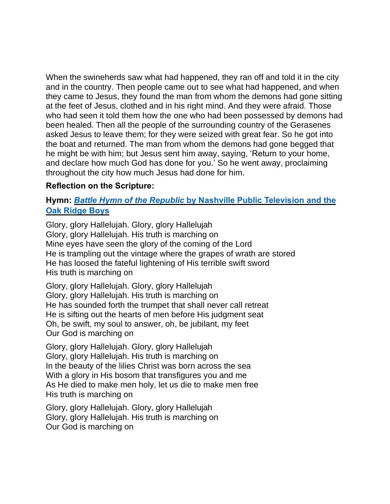When the swineherds saw what had happened, they ran off and told it in the city and in the country. Then people came out to see what had happened, and when they came to Jesus, they found the man from whom the demons had gone sitting at the feet of Jesus, clothed and in his right mind. And they were afraid. Those who had seen it told them how the one who had been possessed by demons had been healed. Then all the people of the surrounding country of the Gerasenes asked Jesus to leave them; for they were seized with great fear. So he got into the boat and returned. The man from whom the demons had gone begged that he might be with him; but Jesus sent him away, saying, 'Return to your home, and declare how much God has done for you.' So he went away, proclaiming throughout the city how much Jesus had done for him.

#### **Reflection on the Scripture:**

## **Hymn:** *Battle Hymn of the Republic* **by Nashville Public [Television](https://www.youtube.com/watch?v=BQXbKmBffRY) and the Oak [Ridge](https://www.youtube.com/watch?v=BQXbKmBffRY) Boys**

Glory, glory Hallelujah. Glory, glory Hallelujah Glory, glory Hallelujah. His truth is marching on Mine eyes have seen the glory of the coming of the Lord He is trampling out the vintage where the grapes of wrath are stored He has loosed the fateful lightening of His terrible swift sword His truth is marching on

Glory, glory Hallelujah. Glory, glory Hallelujah Glory, glory Hallelujah. His truth is marching on He has sounded forth the trumpet that shall never call retreat He is sifting out the hearts of men before His judgment seat Oh, be swift, my soul to answer, oh, be jubilant, my feet Our God is marching on

Glory, glory Hallelujah. Glory, glory Hallelujah Glory, glory Hallelujah. His truth is marching on In the beauty of the lilies Christ was born across the sea With a glory in His bosom that transfigures you and me As He died to make men holy, let us die to make men free His truth is marching on

Glory, glory Hallelujah. Glory, glory Hallelujah Glory, glory Hallelujah. His truth is marching on Our God is marching on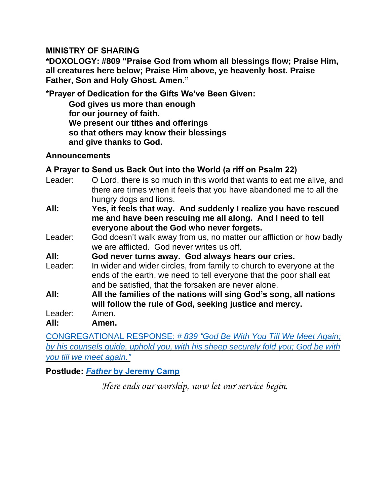### **MINISTRY OF SHARING**

**\*DOXOLOGY: #809 "Praise God from whom all blessings flow; Praise Him, all creatures here below; Praise Him above, ye heavenly host. Praise Father, Son and Holy Ghost. Amen."**

**\*Prayer of Dedication for the Gifts We've Been Given:**

**God gives us more than enough for our journey of faith. We present our tithes and offerings so that others may know their blessings and give thanks to God.**

## **Announcements**

## **A Prayer to Send us Back Out into the World (a riff on Psalm 22)**

- Leader: O Lord, there is so much in this world that wants to eat me alive, and there are times when it feels that you have abandoned me to all the hungry dogs and lions. **All: Yes, it feels that way. And suddenly I realize you have rescued**
- **me and have been rescuing me all along. And I need to tell everyone about the God who never forgets.**
- Leader: God doesn't walk away from us, no matter our affliction or how badly we are afflicted. God never writes us off.
- **All: God never turns away. God always hears our cries.**
- Leader: In wider and wider circles, from family to church to everyone at the ends of the earth, we need to tell everyone that the poor shall eat and be satisfied, that the forsaken are never alone.
- **All: All the families of the nations will sing God's song, all nations will follow the rule of God, seeking justice and mercy.** Leader: Amen.

**All: Amen.**

[CONGREGATIONAL](https://www.youtube.com/watch?v=dQTRoTkkz3g) RESPONSE: *# 839 "God Be With You Till We Meet Again; by his [counsels](https://www.youtube.com/watch?v=dQTRoTkkz3g) guide, uphold you, with his sheep securely fold you; God be with you till we meet [again.](https://www.youtube.com/watch?v=dQTRoTkkz3g)"*

**Postlude:** *Father* **by [Jeremy](https://www.youtube.com/watch?v=akVK91ZY4XQ) Camp**

*Here ends our worship, now let our service begin.*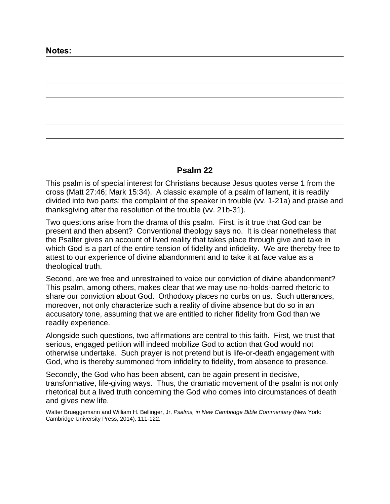**Notes:**

#### **Psalm 22**

This psalm is of special interest for Christians because Jesus quotes verse 1 from the cross (Matt 27:46; Mark 15:34). A classic example of a psalm of lament, it is readily divided into two parts: the complaint of the speaker in trouble (vv. 1-21a) and praise and thanksgiving after the resolution of the trouble (vv. 21b-31).

Two questions arise from the drama of this psalm. First, is it true that God can be present and then absent? Conventional theology says no. It is clear nonetheless that the Psalter gives an account of lived reality that takes place through give and take in which God is a part of the entire tension of fidelity and infidelity. We are thereby free to attest to our experience of divine abandonment and to take it at face value as a theological truth.

Second, are we free and unrestrained to voice our conviction of divine abandonment? This psalm, among others, makes clear that we may use no-holds-barred rhetoric to share our conviction about God. Orthodoxy places no curbs on us. Such utterances, moreover, not only characterize such a reality of divine absence but do so in an accusatory tone, assuming that we are entitled to richer fidelity from God than we readily experience.

Alongside such questions, two affirmations are central to this faith. First, we trust that serious, engaged petition will indeed mobilize God to action that God would not otherwise undertake. Such prayer is not pretend but is life-or-death engagement with God, who is thereby summoned from infidelity to fidelity, from absence to presence.

Secondly, the God who has been absent, can be again present in decisive, transformative, life-giving ways. Thus, the dramatic movement of the psalm is not only rhetorical but a lived truth concerning the God who comes into circumstances of death and gives new life.

Walter Brueggemann and William H. Bellinger, Jr. *Psalms, in New Cambridge Bible Commentary* (New York: Cambridge University Press, 2014), 111-122.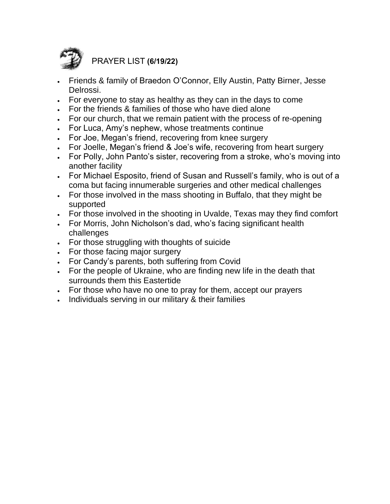

PRAYER LIST **(6/19/22)**

- Friends & family of Braedon O'Connor, Elly Austin, Patty Birner, Jesse Delrossi.
- For everyone to stay as healthy as they can in the days to come
- For the friends & families of those who have died alone
- For our church, that we remain patient with the process of re-opening
- For Luca, Amy's nephew, whose treatments continue
- For Joe, Megan's friend, recovering from knee surgery
- For Joelle, Megan's friend & Joe's wife, recovering from heart surgery
- For Polly, John Panto's sister, recovering from a stroke, who's moving into another facility
- For Michael Esposito, friend of Susan and Russell's family, who is out of a coma but facing innumerable surgeries and other medical challenges
- For those involved in the mass shooting in Buffalo, that they might be supported
- For those involved in the shooting in Uvalde, Texas may they find comfort
- For Morris, John Nicholson's dad, who's facing significant health challenges
- For those struggling with thoughts of suicide
- For those facing major surgery
- For Candy's parents, both suffering from Covid
- For the people of Ukraine, who are finding new life in the death that surrounds them this Eastertide
- For those who have no one to pray for them, accept our prayers
- Individuals serving in our military & their families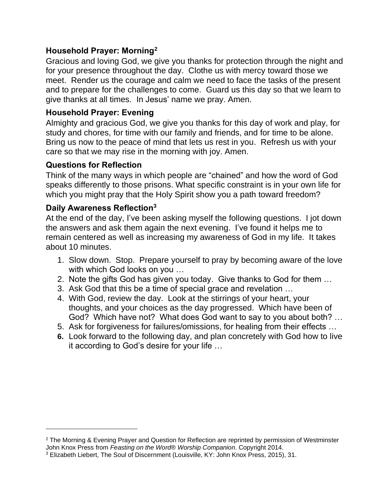## **Household Prayer: Morning<sup>2</sup>**

Gracious and loving God, we give you thanks for protection through the night and for your presence throughout the day. Clothe us with mercy toward those we meet. Render us the courage and calm we need to face the tasks of the present and to prepare for the challenges to come. Guard us this day so that we learn to give thanks at all times. In Jesus' name we pray. Amen.

## **Household Prayer: Evening**

Almighty and gracious God, we give you thanks for this day of work and play, for study and chores, for time with our family and friends, and for time to be alone. Bring us now to the peace of mind that lets us rest in you. Refresh us with your care so that we may rise in the morning with joy. Amen.

## **Questions for Reflection**

Think of the many ways in which people are "chained" and how the word of God speaks differently to those prisons. What specific constraint is in your own life for which you might pray that the Holy Spirit show you a path toward freedom?

## **Daily Awareness Reflection<sup>3</sup>**

At the end of the day, I've been asking myself the following questions. I jot down the answers and ask them again the next evening. I've found it helps me to remain centered as well as increasing my awareness of God in my life. It takes about 10 minutes.

- 1. Slow down. Stop. Prepare yourself to pray by becoming aware of the love with which God looks on you …
- 2. Note the gifts God has given you today. Give thanks to God for them …
- 3. Ask God that this be a time of special grace and revelation …
- 4. With God, review the day. Look at the stirrings of your heart, your thoughts, and your choices as the day progressed. Which have been of God? Which have not? What does God want to say to you about both? …
- 5. Ask for forgiveness for failures/omissions, for healing from their effects …
- **6.** Look forward to the following day, and plan concretely with God how to live it according to God's desire for your life …

<sup>2</sup> The Morning & Evening Prayer and Question for Reflection are reprinted by permission of Westminster John Knox Press from *Feasting on the Word*® *Worship Companion*. Copyright 2014.

<sup>3</sup> Elizabeth Liebert, The Soul of Discernment (Louisville, KY: John Knox Press, 2015), 31.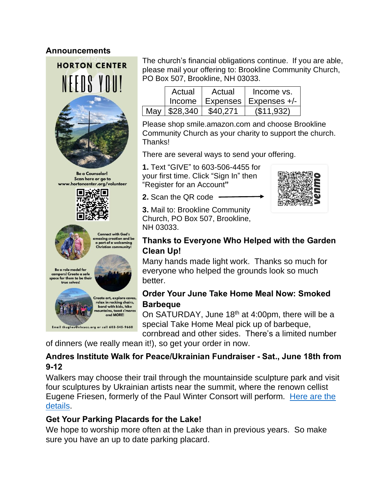#### **Announcements**

**HORTON CENTER** NEEDS YOU!







The church's financial obligations continue. If you are able, please mail your offering to: Brookline Community Church, PO Box 507, Brookline, NH 03033.

| Actual         | Actual   | Income vs.              |
|----------------|----------|-------------------------|
| Income         |          | Expenses   Expenses +/- |
| May   \$28,340 | \$40.271 | (S11.932)               |

Please shop smile.amazon.com and choose Brookline Community Church as your charity to support the church. Thanks!

There are several ways to send your offering.

**1.** Text "GIVE" to 603-506-4455 for your first time. Click "Sign In" then "Register for an Account**"**

**2.** Scan the QR code

**3.** Mail to: Brookline Community Church, PO Box 507, Brookline, NH 03033.



#### **Thanks to Everyone Who Helped with the Garden Clean Up!**

Many hands made light work. Thanks so much for everyone who helped the grounds look so much better.

## **Order Your June Take Home Meal Now: Smoked Barbeque**

On SATURDAY, June 18<sup>th</sup> at 4:00pm, there will be a special Take Home Meal pick up of barbeque, cornbread and other sides. There's a limited number

of dinners (we really mean it!), so get your order in now.

## **Andres Institute Walk for Peace/Ukrainian Fundraiser - Sat., June 18th from 9-12**

Walkers may choose their trail through the mountainside sculpture park and visit four sculptures by Ukrainian artists near the summit, where the renown cellist Eugene Friesen, formerly of the Paul Winter Consort will perform. [Here](https://www.brooklinenh.us/home/news/andres-institute-walk-for-peaceukranian-fundraiser-sat-june-18th-from-9-12) are the [details.](https://www.brooklinenh.us/home/news/andres-institute-walk-for-peaceukranian-fundraiser-sat-june-18th-from-9-12)

# **Get Your Parking Placards for the Lake!**

We hope to worship more often at the Lake than in previous years. So make sure you have an up to date parking placard.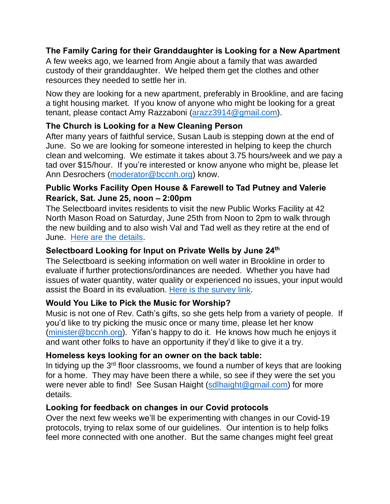### **The Family Caring for their Granddaughter is Looking for a New Apartment**

A few weeks ago, we learned from Angie about a family that was awarded custody of their granddaughter. We helped them get the clothes and other resources they needed to settle her in.

Now they are looking for a new apartment, preferably in Brookline, and are facing a tight housing market. If you know of anyone who might be looking for a great tenant, please contact Amy Razzaboni [\(arazz3914@gmail.com\)](mailto:arazz3914@gmail.com).

## **The Church is Looking for a New Cleaning Person**

After many years of faithful service, Susan Laub is stepping down at the end of June. So we are looking for someone interested in helping to keep the church clean and welcoming. We estimate it takes about 3.75 hours/week and we pay a tad over \$15/hour. If you're interested or know anyone who might be, please let Ann Desrochers [\(moderator@bccnh.org\)](mailto:moderator@bccnh.org) know.

## **Public Works Facility Open House & Farewell to Tad Putney and Valerie Rearick, Sat. June 25, noon – 2:00pm**

The Selectboard invites residents to visit the new Public Works Facility at 42 North Mason Road on Saturday, June 25th from Noon to 2pm to walk through the new building and to also wish Val and Tad well as they retire at the end of June. Here are the [details.](https://www.brooklinenh.us/home/news/public-works-facility-open-house-and-farewell-to-val-and-tad-sat-june-25th-from-noon-to)

### **Selectboard Looking for Input on Private Wells by June 24th**

The Selectboard is seeking information on well water in Brookline in order to evaluate if further protections/ordinances are needed. Whether you have had issues of water quantity, water quality or experienced no issues, your input would assist the Board in its evaluation. Here is the [survey](https://docs.google.com/forms/d/e/1FAIpQLSeXXzudYILJnzxcybndVqHux11hLKNRsR0T6jKtHPhDSTEkuQ/viewform?usp=pp_url) link.

#### **Would You Like to Pick the Music for Worship?**

Music is not one of Rev. Cath's gifts, so she gets help from a variety of people. If you'd like to try picking the music once or many time, please let her know [\(minister@bccnh.org\)](mailto:minister@bccnh.org). Yifan's happy to do it. He knows how much he enjoys it and want other folks to have an opportunity if they'd like to give it a try.

#### **Homeless keys looking for an owner on the back table:**

In tidying up the 3<sup>rd</sup> floor classrooms, we found a number of keys that are looking for a home. They may have been there a while, so see if they were the set you were never able to find! See Susan Haight [\(sdlhaight@gmail.com\)](mailto:sdlhaight@gmail.com) for more details.

#### **Looking for feedback on changes in our Covid protocols**

Over the next few weeks we'll be experimenting with changes in our Covid-19 protocols, trying to relax some of our guidelines. Our intention is to help folks feel more connected with one another. But the same changes might feel great